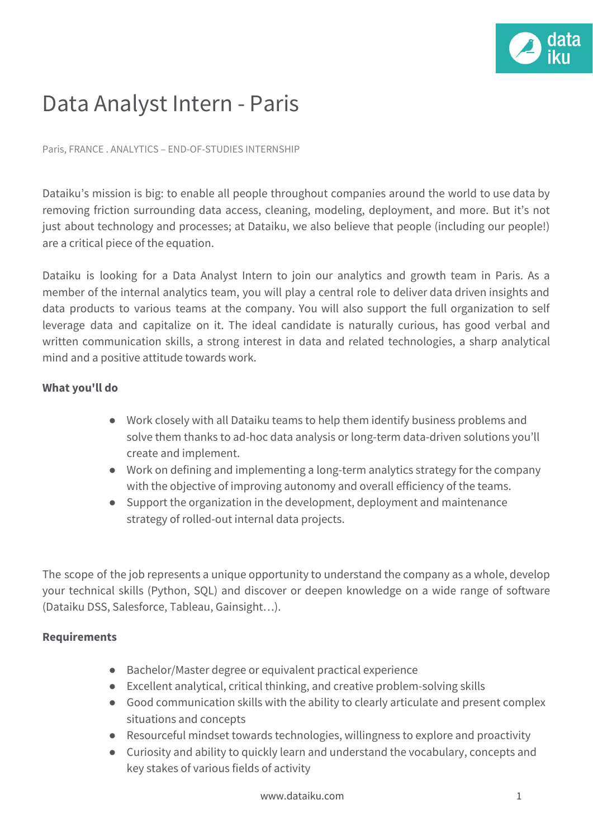

## Data Analyst Intern - Paris

Paris, FRANCE . ANALYTICS – END-OF-STUDIES INTERNSHIP

Dataiku's mission is big: to enable all people throughout companies around the world to use data by removing friction surrounding data access, cleaning, modeling, deployment, and more. But it's not just about technology and processes; at Dataiku, we also believe that people (including our people!) are a critical piece of the equation.

Dataiku is looking for a Data Analyst Intern to join our analytics and growth team in Paris. As a member of the internal analytics team, you will play a central role to deliver data driven insights and data products to various teams at the company. You will also support the full organization to self leverage data and capitalize on it. The ideal candidate is naturally curious, has good verbal and written communication skills, a strong interest in data and related technologies, a sharp analytical mind and a positive attitude towards work.

## **What you'll do**

- Work closely with all Dataiku teams to help them identify business problems and solve them thanks to ad-hoc data analysis or long-term data-driven solutions you'll create and implement.
- Work on defining and implementing a long-term analytics strategy for the company with the objective of improving autonomy and overall efficiency of the teams.
- Support the organization in the development, deployment and maintenance strategy of rolled-out internal data projects.

The scope of the job represents a unique opportunity to understand the company as a whole, develop your technical skills (Python, SQL) and discover or deepen knowledge on a wide range of software (Dataiku DSS, Salesforce, Tableau, Gainsight…).

## **Requirements**

- Bachelor/Master degree or equivalent practical experience
- Excellent analytical, critical thinking, and creative problem-solving skills
- Good communication skills with the ability to clearly articulate and present complex situations and concepts
- Resourceful mindset towards technologies, willingness to explore and proactivity
- Curiosity and ability to quickly learn and understand the vocabulary, concepts and key stakes of various fields of activity